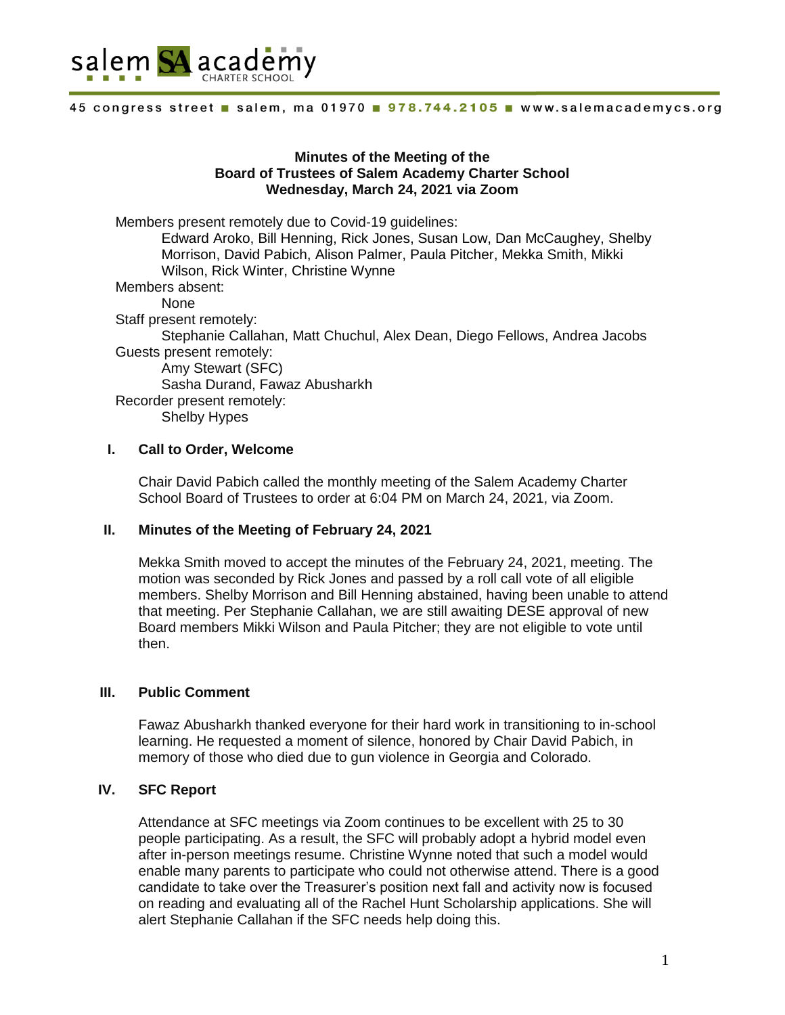

### **Minutes of the Meeting of the Board of Trustees of Salem Academy Charter School Wednesday, March 24, 2021 via Zoom**

Members present remotely due to Covid-19 guidelines: Edward Aroko, Bill Henning, Rick Jones, Susan Low, Dan McCaughey, Shelby Morrison, David Pabich, Alison Palmer, Paula Pitcher, Mekka Smith, Mikki Wilson, Rick Winter, Christine Wynne Members absent: None Staff present remotely: Stephanie Callahan, Matt Chuchul, Alex Dean, Diego Fellows, Andrea Jacobs Guests present remotely: Amy Stewart (SFC) Sasha Durand, Fawaz Abusharkh Recorder present remotely: Shelby Hypes

## **I. Call to Order, Welcome**

Chair David Pabich called the monthly meeting of the Salem Academy Charter School Board of Trustees to order at 6:04 PM on March 24, 2021, via Zoom.

### **II. Minutes of the Meeting of February 24, 2021**

Mekka Smith moved to accept the minutes of the February 24, 2021, meeting. The motion was seconded by Rick Jones and passed by a roll call vote of all eligible members. Shelby Morrison and Bill Henning abstained, having been unable to attend that meeting. Per Stephanie Callahan, we are still awaiting DESE approval of new Board members Mikki Wilson and Paula Pitcher; they are not eligible to vote until then.

### **III. Public Comment**

Fawaz Abusharkh thanked everyone for their hard work in transitioning to in-school learning. He requested a moment of silence, honored by Chair David Pabich, in memory of those who died due to gun violence in Georgia and Colorado.

## **IV. SFC Report**

Attendance at SFC meetings via Zoom continues to be excellent with 25 to 30 people participating. As a result, the SFC will probably adopt a hybrid model even after in-person meetings resume. Christine Wynne noted that such a model would enable many parents to participate who could not otherwise attend. There is a good candidate to take over the Treasurer's position next fall and activity now is focused on reading and evaluating all of the Rachel Hunt Scholarship applications. She will alert Stephanie Callahan if the SFC needs help doing this.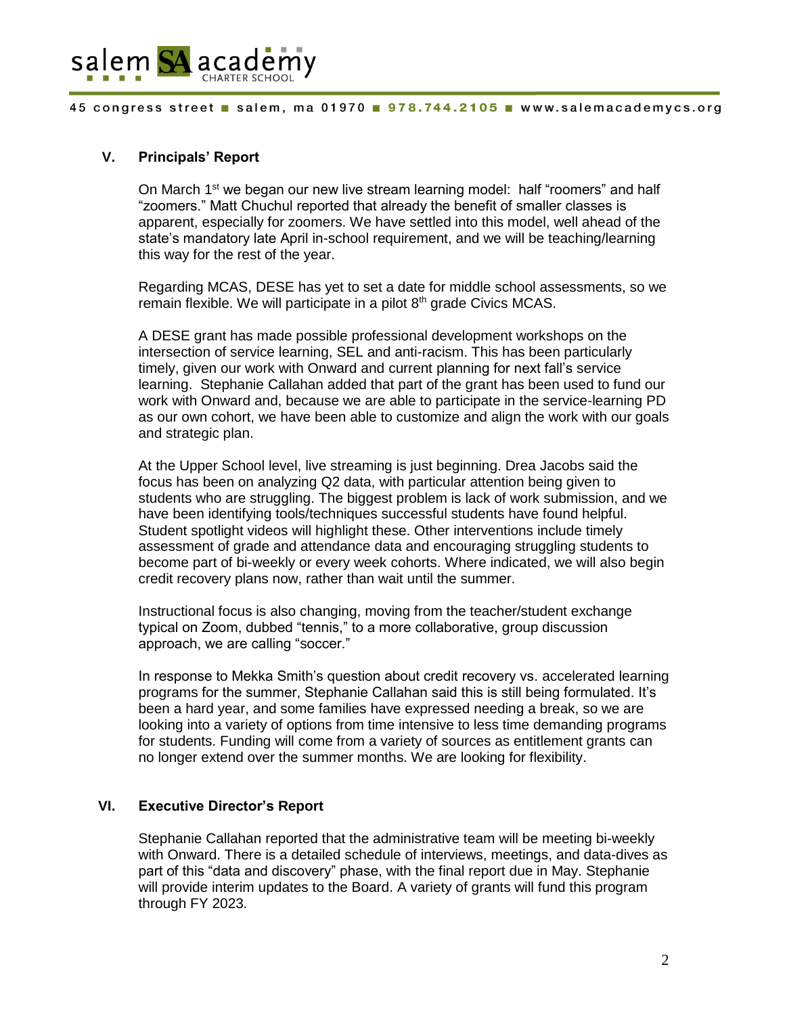

## **V. Principals' Report**

On March 1<sup>st</sup> we began our new live stream learning model: half "roomers" and half "zoomers." Matt Chuchul reported that already the benefit of smaller classes is apparent, especially for zoomers. We have settled into this model, well ahead of the state's mandatory late April in-school requirement, and we will be teaching/learning this way for the rest of the year.

Regarding MCAS, DESE has yet to set a date for middle school assessments, so we remain flexible. We will participate in a pilot 8<sup>th</sup> grade Civics MCAS.

A DESE grant has made possible professional development workshops on the intersection of service learning, SEL and anti-racism. This has been particularly timely, given our work with Onward and current planning for next fall's service learning. Stephanie Callahan added that part of the grant has been used to fund our work with Onward and, because we are able to participate in the service-learning PD as our own cohort, we have been able to customize and align the work with our goals and strategic plan.

At the Upper School level, live streaming is just beginning. Drea Jacobs said the focus has been on analyzing Q2 data, with particular attention being given to students who are struggling. The biggest problem is lack of work submission, and we have been identifying tools/techniques successful students have found helpful. Student spotlight videos will highlight these. Other interventions include timely assessment of grade and attendance data and encouraging struggling students to become part of bi-weekly or every week cohorts. Where indicated, we will also begin credit recovery plans now, rather than wait until the summer.

Instructional focus is also changing, moving from the teacher/student exchange typical on Zoom, dubbed "tennis," to a more collaborative, group discussion approach, we are calling "soccer."

In response to Mekka Smith's question about credit recovery vs. accelerated learning programs for the summer, Stephanie Callahan said this is still being formulated. It's been a hard year, and some families have expressed needing a break, so we are looking into a variety of options from time intensive to less time demanding programs for students. Funding will come from a variety of sources as entitlement grants can no longer extend over the summer months. We are looking for flexibility.

## **VI. Executive Director's Report**

Stephanie Callahan reported that the administrative team will be meeting bi-weekly with Onward. There is a detailed schedule of interviews, meetings, and data-dives as part of this "data and discovery" phase, with the final report due in May. Stephanie will provide interim updates to the Board. A variety of grants will fund this program through FY 2023.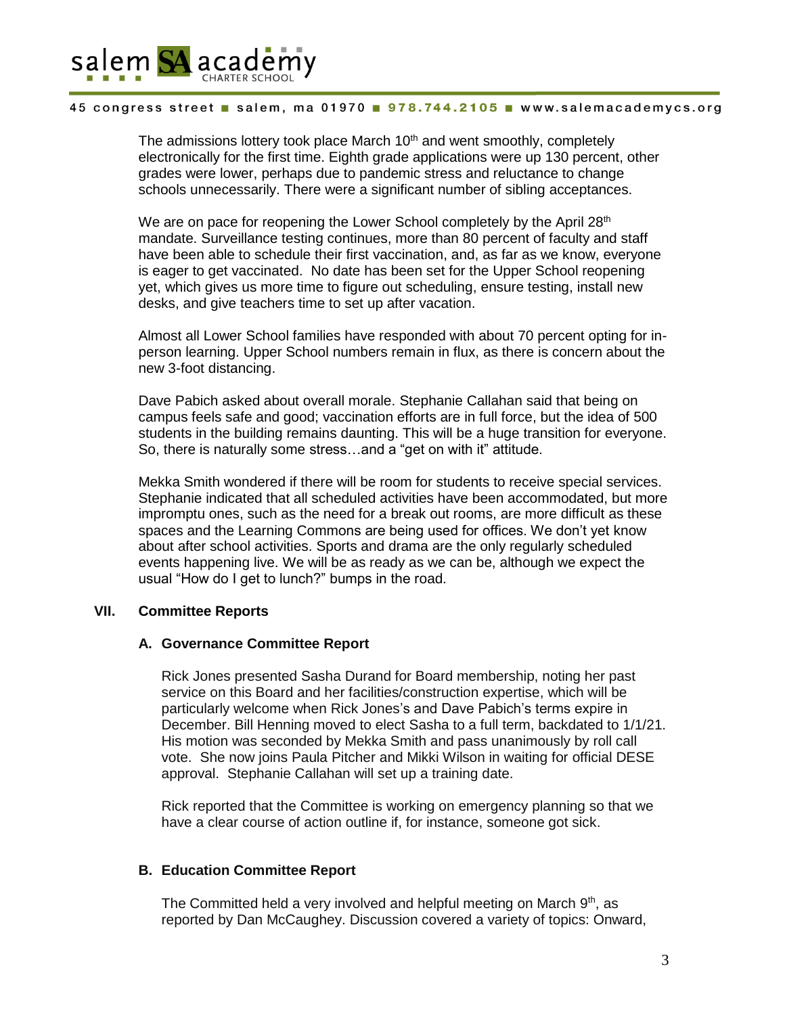

The admissions lottery took place March  $10<sup>th</sup>$  and went smoothly, completely electronically for the first time. Eighth grade applications were up 130 percent, other grades were lower, perhaps due to pandemic stress and reluctance to change schools unnecessarily. There were a significant number of sibling acceptances.

We are on pace for reopening the Lower School completely by the April 28<sup>th</sup> mandate. Surveillance testing continues, more than 80 percent of faculty and staff have been able to schedule their first vaccination, and, as far as we know, everyone is eager to get vaccinated. No date has been set for the Upper School reopening yet, which gives us more time to figure out scheduling, ensure testing, install new desks, and give teachers time to set up after vacation.

Almost all Lower School families have responded with about 70 percent opting for inperson learning. Upper School numbers remain in flux, as there is concern about the new 3-foot distancing.

Dave Pabich asked about overall morale. Stephanie Callahan said that being on campus feels safe and good; vaccination efforts are in full force, but the idea of 500 students in the building remains daunting. This will be a huge transition for everyone. So, there is naturally some stress…and a "get on with it" attitude.

Mekka Smith wondered if there will be room for students to receive special services. Stephanie indicated that all scheduled activities have been accommodated, but more impromptu ones, such as the need for a break out rooms, are more difficult as these spaces and the Learning Commons are being used for offices. We don't yet know about after school activities. Sports and drama are the only regularly scheduled events happening live. We will be as ready as we can be, although we expect the usual "How do I get to lunch?" bumps in the road.

### **VII. Committee Reports**

### **A. Governance Committee Report**

Rick Jones presented Sasha Durand for Board membership, noting her past service on this Board and her facilities/construction expertise, which will be particularly welcome when Rick Jones's and Dave Pabich's terms expire in December. Bill Henning moved to elect Sasha to a full term, backdated to 1/1/21. His motion was seconded by Mekka Smith and pass unanimously by roll call vote. She now joins Paula Pitcher and Mikki Wilson in waiting for official DESE approval. Stephanie Callahan will set up a training date.

Rick reported that the Committee is working on emergency planning so that we have a clear course of action outline if, for instance, someone got sick.

### **B. Education Committee Report**

The Committed held a very involved and helpful meeting on March  $9<sup>th</sup>$ , as reported by Dan McCaughey. Discussion covered a variety of topics: Onward,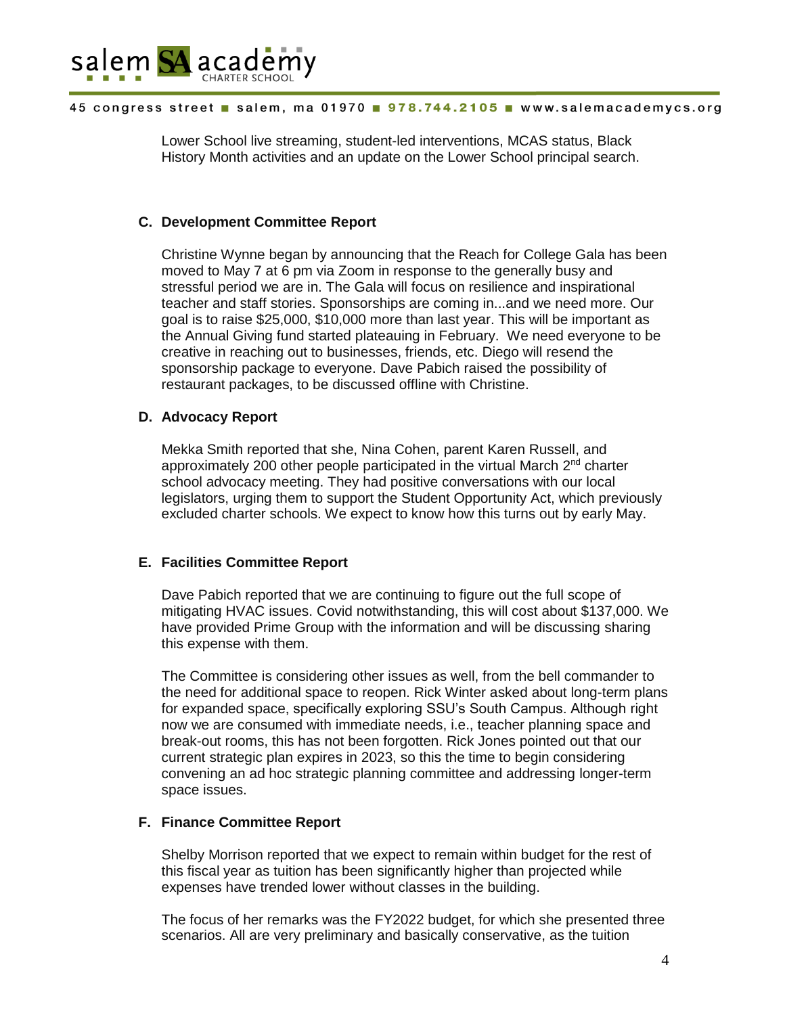

Lower School live streaming, student-led interventions, MCAS status, Black History Month activities and an update on the Lower School principal search.

## **C. Development Committee Report**

Christine Wynne began by announcing that the Reach for College Gala has been moved to May 7 at 6 pm via Zoom in response to the generally busy and stressful period we are in. The Gala will focus on resilience and inspirational teacher and staff stories. Sponsorships are coming in...and we need more. Our goal is to raise \$25,000, \$10,000 more than last year. This will be important as the Annual Giving fund started plateauing in February. We need everyone to be creative in reaching out to businesses, friends, etc. Diego will resend the sponsorship package to everyone. Dave Pabich raised the possibility of restaurant packages, to be discussed offline with Christine.

## **D. Advocacy Report**

Mekka Smith reported that she, Nina Cohen, parent Karen Russell, and approximately 200 other people participated in the virtual March  $2<sup>nd</sup>$  charter school advocacy meeting. They had positive conversations with our local legislators, urging them to support the Student Opportunity Act, which previously excluded charter schools. We expect to know how this turns out by early May.

# **E. Facilities Committee Report**

Dave Pabich reported that we are continuing to figure out the full scope of mitigating HVAC issues. Covid notwithstanding, this will cost about \$137,000. We have provided Prime Group with the information and will be discussing sharing this expense with them.

The Committee is considering other issues as well, from the bell commander to the need for additional space to reopen. Rick Winter asked about long-term plans for expanded space, specifically exploring SSU's South Campus. Although right now we are consumed with immediate needs, i.e., teacher planning space and break-out rooms, this has not been forgotten. Rick Jones pointed out that our current strategic plan expires in 2023, so this the time to begin considering convening an ad hoc strategic planning committee and addressing longer-term space issues.

# **F. Finance Committee Report**

Shelby Morrison reported that we expect to remain within budget for the rest of this fiscal year as tuition has been significantly higher than projected while expenses have trended lower without classes in the building.

The focus of her remarks was the FY2022 budget, for which she presented three scenarios. All are very preliminary and basically conservative, as the tuition